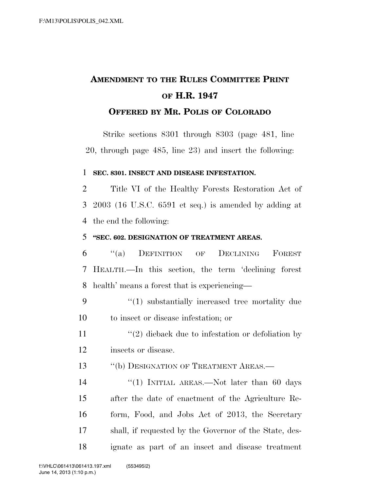# **AMENDMENT TO THE RULES COMMITTEE PRINT OF H.R. 1947**

### **OFFERED BY MR. POLIS OF COLORADO**

Strike sections 8301 through 8303 (page 481, line 20, through page 485, line 23) and insert the following:

#### 1 **SEC. 8301. INSECT AND DISEASE INFESTATION.**

2 Title VI of the Healthy Forests Restoration Act of 3 2003 (16 U.S.C. 6591 et seq.) is amended by adding at 4 the end the following:

#### 5 **''SEC. 602. DESIGNATION OF TREATMENT AREAS.**

6 ''(a) DEFINITION OF DECLINING FOREST 7 HEALTH.—In this section, the term 'declining forest 8 health' means a forest that is experiencing—

9 "(1) substantially increased tree mortality due 10 to insect or disease infestation; or

11  $\frac{1}{2}$  dieback due to infestation or defoliation by 12 insects or disease.

13 "(b) DESIGNATION OF TREATMENT AREAS.—

14 ''(1) INITIAL AREAS.—Not later than 60 days after the date of enactment of the Agriculture Re- form, Food, and Jobs Act of 2013, the Secretary shall, if requested by the Governor of the State, des-ignate as part of an insect and disease treatment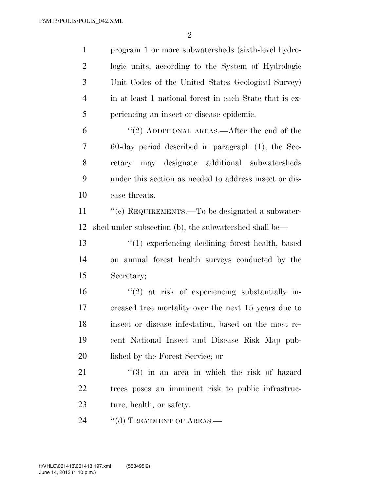program 1 or more subwatersheds (sixth-level hydro- logic units, according to the System of Hydrologic Unit Codes of the United States Geological Survey) in at least 1 national forest in each State that is ex- periencing an insect or disease epidemic. ''(2) ADDITIONAL AREAS.—After the end of the 60-day period described in paragraph (1), the Sec- retary may designate additional subwatersheds under this section as needed to address insect or dis- ease threats. 11 "(c) REQUIREMENTS.—To be designated a subwater- shed under subsection (b), the subwatershed shall be— ''(1) experiencing declining forest health, based on annual forest health surveys conducted by the Secretary; ''(2) at risk of experiencing substantially in- creased tree mortality over the next 15 years due to insect or disease infestation, based on the most re- cent National Insect and Disease Risk Map pub- lished by the Forest Service; or 21 ''(3) in an area in which the risk of hazard trees poses an imminent risk to public infrastruc- ture, health, or safety. 24 "(d) TREATMENT OF AREAS.—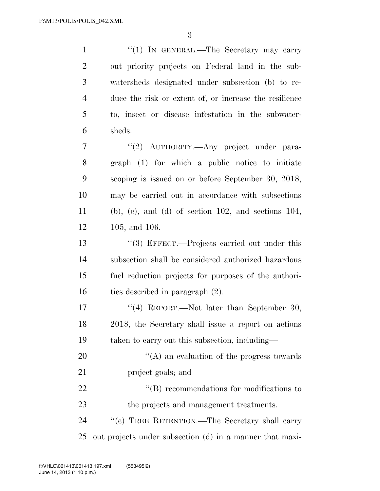1 "(1) IN GENERAL.—The Secretary may carry out priority projects on Federal land in the sub- watersheds designated under subsection (b) to re- duce the risk or extent of, or increase the resilience to, insect or disease infestation in the subwater- sheds. 7 "(2) AUTHORITY.—Any project under para- graph (1) for which a public notice to initiate scoping is issued on or before September 30, 2018, may be carried out in accordance with subsections

 (b), (c), and (d) of section 102, and sections 104, 105, and 106.

13 ''(3) EFFECT.—Projects carried out under this subsection shall be considered authorized hazardous fuel reduction projects for purposes of the authori-ties described in paragraph (2).

17 ''(4) REPORT.—Not later than September 30, 2018, the Secretary shall issue a report on actions taken to carry out this subsection, including—

20  $\langle (A)$  an evaluation of the progress towards project goals; and

22 "'(B) recommendations for modifications to the projects and management treatments.

 ''(e) TREE RETENTION.—The Secretary shall carry out projects under subsection (d) in a manner that maxi